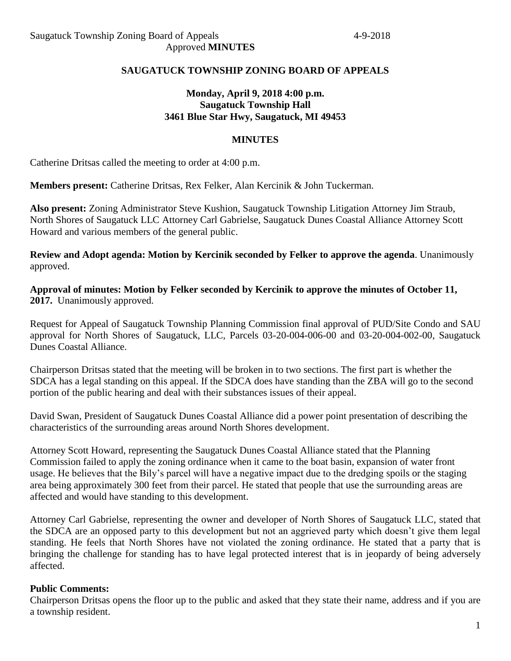### **SAUGATUCK TOWNSHIP ZONING BOARD OF APPEALS**

## **Monday, April 9, 2018 4:00 p.m. Saugatuck Township Hall 3461 Blue Star Hwy, Saugatuck, MI 49453**

#### **MINUTES**

Catherine Dritsas called the meeting to order at 4:00 p.m.

**Members present:** Catherine Dritsas, Rex Felker, Alan Kercinik & John Tuckerman.

**Also present:** Zoning Administrator Steve Kushion, Saugatuck Township Litigation Attorney Jim Straub, North Shores of Saugatuck LLC Attorney Carl Gabrielse, Saugatuck Dunes Coastal Alliance Attorney Scott Howard and various members of the general public.

**Review and Adopt agenda: Motion by Kercinik seconded by Felker to approve the agenda**. Unanimously approved.

**Approval of minutes: Motion by Felker seconded by Kercinik to approve the minutes of October 11, 2017.** Unanimously approved.

Request for Appeal of Saugatuck Township Planning Commission final approval of PUD/Site Condo and SAU approval for North Shores of Saugatuck, LLC, Parcels 03-20-004-006-00 and 03-20-004-002-00, Saugatuck Dunes Coastal Alliance.

Chairperson Dritsas stated that the meeting will be broken in to two sections. The first part is whether the SDCA has a legal standing on this appeal. If the SDCA does have standing than the ZBA will go to the second portion of the public hearing and deal with their substances issues of their appeal.

David Swan, President of Saugatuck Dunes Coastal Alliance did a power point presentation of describing the characteristics of the surrounding areas around North Shores development.

Attorney Scott Howard, representing the Saugatuck Dunes Coastal Alliance stated that the Planning Commission failed to apply the zoning ordinance when it came to the boat basin, expansion of water front usage. He believes that the Bily's parcel will have a negative impact due to the dredging spoils or the staging area being approximately 300 feet from their parcel. He stated that people that use the surrounding areas are affected and would have standing to this development.

Attorney Carl Gabrielse, representing the owner and developer of North Shores of Saugatuck LLC, stated that the SDCA are an opposed party to this development but not an aggrieved party which doesn't give them legal standing. He feels that North Shores have not violated the zoning ordinance. He stated that a party that is bringing the challenge for standing has to have legal protected interest that is in jeopardy of being adversely affected.

#### **Public Comments:**

Chairperson Dritsas opens the floor up to the public and asked that they state their name, address and if you are a township resident.